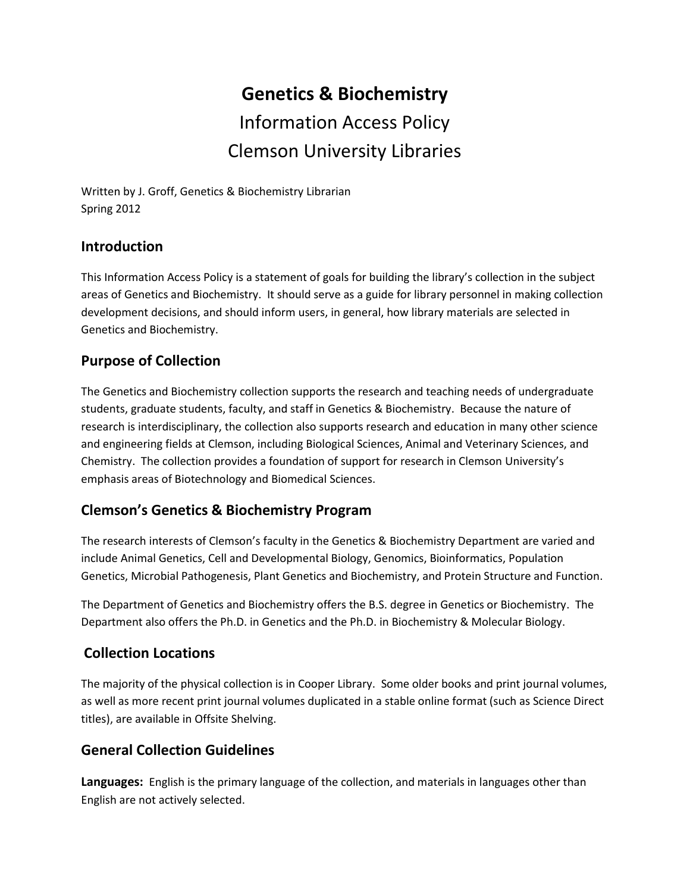# **Genetics & Biochemistry** Information Access Policy Clemson University Libraries

Written by J. Groff, Genetics & Biochemistry Librarian Spring 2012

#### **Introduction**

This Information Access Policy is a statement of goals for building the library's collection in the subject areas of Genetics and Biochemistry. It should serve as a guide for library personnel in making collection development decisions, and should inform users, in general, how library materials are selected in Genetics and Biochemistry.

## **Purpose of Collection**

The Genetics and Biochemistry collection supports the research and teaching needs of undergraduate students, graduate students, faculty, and staff in Genetics & Biochemistry. Because the nature of research is interdisciplinary, the collection also supports research and education in many other science and engineering fields at Clemson, including Biological Sciences, Animal and Veterinary Sciences, and Chemistry. The collection provides a foundation of support for research in Clemson University's emphasis areas of Biotechnology and Biomedical Sciences.

# **Clemson's Genetics & Biochemistry Program**

The research interests of Clemson's faculty in the Genetics & Biochemistry Department are varied and include Animal Genetics, Cell and Developmental Biology, Genomics, Bioinformatics, Population Genetics, Microbial Pathogenesis, Plant Genetics and Biochemistry, and Protein Structure and Function.

The Department of Genetics and Biochemistry offers the B.S. degree in Genetics or Biochemistry. The Department also offers the Ph.D. in Genetics and the Ph.D. in Biochemistry & Molecular Biology.

#### **Collection Locations**

The majority of the physical collection is in Cooper Library. Some older books and print journal volumes, as well as more recent print journal volumes duplicated in a stable online format (such as Science Direct titles), are available in Offsite Shelving.

#### **General Collection Guidelines**

**Languages:** English is the primary language of the collection, and materials in languages other than English are not actively selected.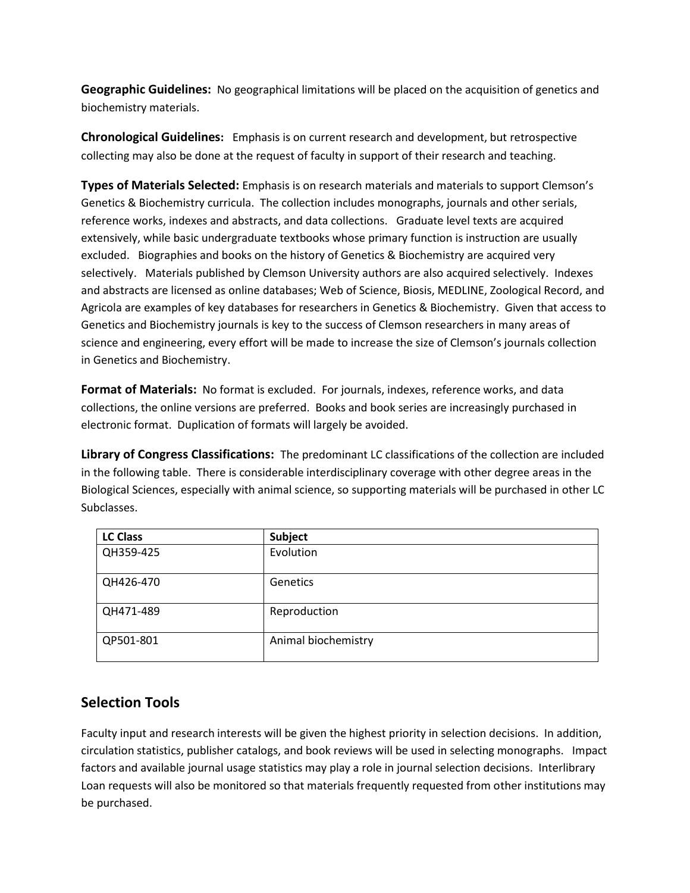**Geographic Guidelines:** No geographical limitations will be placed on the acquisition of genetics and biochemistry materials.

**Chronological Guidelines:** Emphasis is on current research and development, but retrospective collecting may also be done at the request of faculty in support of their research and teaching.

**Types of Materials Selected:** Emphasis is on research materials and materials to support Clemson's Genetics & Biochemistry curricula. The collection includes monographs, journals and other serials, reference works, indexes and abstracts, and data collections. Graduate level texts are acquired extensively, while basic undergraduate textbooks whose primary function is instruction are usually excluded. Biographies and books on the history of Genetics & Biochemistry are acquired very selectively. Materials published by Clemson University authors are also acquired selectively. Indexes and abstracts are licensed as online databases; Web of Science, Biosis, MEDLINE, Zoological Record, and Agricola are examples of key databases for researchers in Genetics & Biochemistry. Given that access to Genetics and Biochemistry journals is key to the success of Clemson researchers in many areas of science and engineering, every effort will be made to increase the size of Clemson's journals collection in Genetics and Biochemistry.

**Format of Materials:** No format is excluded. For journals, indexes, reference works, and data collections, the online versions are preferred. Books and book series are increasingly purchased in electronic format. Duplication of formats will largely be avoided.

**Library of Congress Classifications:** The predominant LC classifications of the collection are included in the following table. There is considerable interdisciplinary coverage with other degree areas in the Biological Sciences, especially with animal science, so supporting materials will be purchased in other LC Subclasses.

| <b>LC Class</b> | Subject             |
|-----------------|---------------------|
| QH359-425       | Evolution           |
| QH426-470       | Genetics            |
| QH471-489       | Reproduction        |
| QP501-801       | Animal biochemistry |

#### **Selection Tools**

Faculty input and research interests will be given the highest priority in selection decisions. In addition, circulation statistics, publisher catalogs, and book reviews will be used in selecting monographs. Impact factors and available journal usage statistics may play a role in journal selection decisions. Interlibrary Loan requests will also be monitored so that materials frequently requested from other institutions may be purchased.